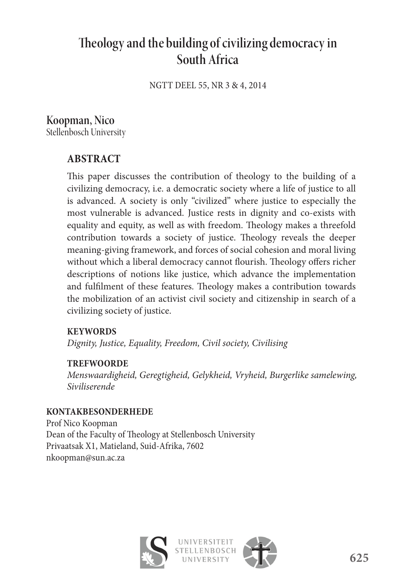# **Th eology and the building of civilizing democracy in South Africa**

NGTT DEEL 55, NR 3 & 4, 2014

### **Koopman, Nico**

Stellenbosch University

#### **ABSTRACT**

This paper discusses the contribution of theology to the building of a civilizing democracy, i.e. a democratic society where a life of justice to all is advanced. A society is only "civilized" where justice to especially the most vulnerable is advanced. Justice rests in dignity and co-exists with equality and equity, as well as with freedom. Theology makes a threefold contribution towards a society of justice. Theology reveals the deeper meaning-giving framework, and forces of social cohesion and moral living without which a liberal democracy cannot flourish. Theology offers richer descriptions of notions like justice, which advance the implementation and fulfilment of these features. Theology makes a contribution towards the mobilization of an activist civil society and citizenship in search of a civilizing society of justice.

#### **KEYWORDS**

*Dignity, Justice, Equality, Freedom, Civil society, Civilising*

#### **TREFWOORDE**

*Menswaardigheid, Geregtigheid, Gelykheid, Vryheid, Burgerlike samelewing, Siviliserende*

#### **KONTAKBESONDERHEDE**

Prof Nico Koopman Dean of the Faculty of Theology at Stellenbosch University Privaatsak X1, Matieland, Suid-Afrika, 7602 nkoopman@sun.ac.za



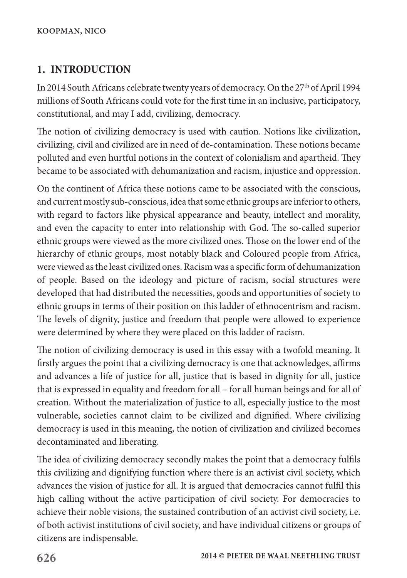# **1. INTRODUCTION**

In 2014 South Africans celebrate twenty years of democracy. On the 27th of April 1994 millions of South Africans could vote for the first time in an inclusive, participatory, constitutional, and may I add, civilizing, democracy.

The notion of civilizing democracy is used with caution. Notions like civilization, civilizing, civil and civilized are in need of de-contamination. These notions became polluted and even hurtful notions in the context of colonialism and apartheid. They became to be associated with dehumanization and racism, injustice and oppression.

On the continent of Africa these notions came to be associated with the conscious, and current mostly sub-conscious, idea that some ethnic groups are inferior to others, with regard to factors like physical appearance and beauty, intellect and morality, and even the capacity to enter into relationship with God. The so-called superior ethnic groups were viewed as the more civilized ones. Those on the lower end of the hierarchy of ethnic groups, most notably black and Coloured people from Africa, were viewed as the least civilized ones. Racism was a specific form of dehumanization of people. Based on the ideology and picture of racism, social structures were developed that had distributed the necessities, goods and opportunities of society to ethnic groups in terms of their position on this ladder of ethnocentrism and racism. The levels of dignity, justice and freedom that people were allowed to experience were determined by where they were placed on this ladder of racism.

The notion of civilizing democracy is used in this essay with a twofold meaning. It firstly argues the point that a civilizing democracy is one that acknowledges, affirms and advances a life of justice for all, justice that is based in dignity for all, justice that is expressed in equality and freedom for all – for all human beings and for all of creation. Without the materialization of justice to all, especially justice to the most vulnerable, societies cannot claim to be civilized and dignified. Where civilizing democracy is used in this meaning, the notion of civilization and civilized becomes decontaminated and liberating.

The idea of civilizing democracy secondly makes the point that a democracy fulfils this civilizing and dignifying function where there is an activist civil society, which advances the vision of justice for all. It is argued that democracies cannot fulfil this high calling without the active participation of civil society. For democracies to achieve their noble visions, the sustained contribution of an activist civil society, i.e. of both activist institutions of civil society, and have individual citizens or groups of citizens are indispensable.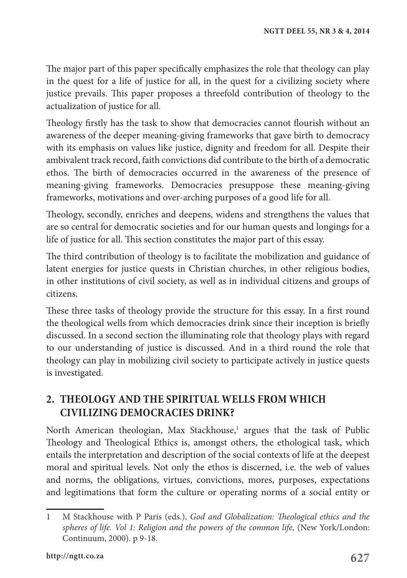The major part of this paper specifically emphasizes the role that theology can play in the quest for a life of justice for all, in the quest for a civilizing society where justice prevails. This paper proposes a threefold contribution of theology to the actualization of justice for all.

Theology firstly has the task to show that democracies cannot flourish without an awareness of the deeper meaning-giving frameworks that gave birth to democracy with its emphasis on values like justice, dignity and freedom for all. Despite their ambivalent track record, faith convictions did contribute to the birth of a democratic ethos. The birth of democracies occurred in the awareness of the presence of meaning-giving frameworks. Democracies presuppose these meaning-giving frameworks, motivations and over-arching purposes of a good life for all.

Theology, secondly, enriches and deepens, widens and strengthens the values that are so central for democratic societies and for our human quests and longings for a life of justice for all. This section constitutes the major part of this essay.

The third contribution of theology is to facilitate the mobilization and guidance of latent energies for justice quests in Christian churches, in other religious bodies, in other institutions of civil society, as well as in individual citizens and groups of citizens.

These three tasks of theology provide the structure for this essay. In a first round the theological wells from which democracies drink since their inception is briefly discussed. In a second section the illuminating role that theology plays with regard to our understanding of justice is discussed. And in a third round the role that theology can play in mobilizing civil society to participate actively in justice quests is investigated.

#### **2. THEOLOGY AND THE SPIRITUAL WELLS FROM WHICH CIVILIZING DEMOCRACIES DRINK?**

North American theologian, Max Stackhouse,<sup>1</sup> argues that the task of Public Theology and Theological Ethics is, amongst others, the ethological task, which entails the interpretation and description of the social contexts of life at the deepest moral and spiritual levels. Not only the ethos is discerned, i.e. the web of values and norms, the obligations, virtues, convictions, mores, purposes, expectations and legitimations that form the culture or operating norms of a social entity or

<sup>1</sup> M Stackhouse with P Paris (eds.), *God and Globalization: Theological ethics and the spheres of life. Vol 1: Religion and the powers of the common life,* (New York/London: Continuum, 2000). p 9-18.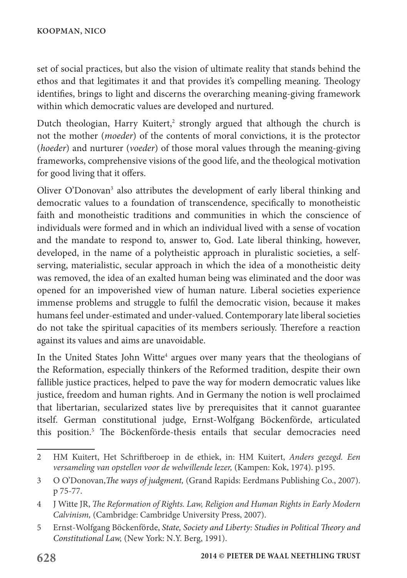set of social practices, but also the vision of ultimate reality that stands behind the ethos and that legitimates it and that provides it's compelling meaning. Theology identifies, brings to light and discerns the overarching meaning-giving framework within which democratic values are developed and nurtured.

Dutch theologian, Harry Kuitert,<sup>2</sup> strongly argued that although the church is not the mother (*moeder*) of the contents of moral convictions, it is the protector (*hoeder*) and nurturer (*voeder*) of those moral values through the meaning-giving frameworks, comprehensive visions of the good life, and the theological motivation for good living that it offers.

Oliver O'Donovan<sup>3</sup> also attributes the development of early liberal thinking and democratic values to a foundation of transcendence, specifically to monotheistic faith and monotheistic traditions and communities in which the conscience of individuals were formed and in which an individual lived with a sense of vocation and the mandate to respond to, answer to, God. Late liberal thinking, however, developed, in the name of a polytheistic approach in pluralistic societies, a selfserving, materialistic, secular approach in which the idea of a monotheistic deity was removed, the idea of an exalted human being was eliminated and the door was opened for an impoverished view of human nature. Liberal societies experience immense problems and struggle to fulfil the democratic vision, because it makes humans feel under-estimated and under-valued. Contemporary late liberal societies do not take the spiritual capacities of its members seriously. Therefore a reaction against its values and aims are unavoidable.

In the United States John Witte<sup>4</sup> argues over many years that the theologians of the Reformation, especially thinkers of the Reformed tradition, despite their own fallible justice practices, helped to pave the way for modern democratic values like justice, freedom and human rights. And in Germany the notion is well proclaimed that libertarian, secularized states live by prerequisites that it cannot guarantee itself. German constitutional judge, Ernst-Wolfgang Böckenförde, articulated this position.<sup>5</sup> The Böckenförde-thesis entails that secular democracies need

<sup>2</sup> HM Kuitert, Het Schriftberoep in de ethiek, in: HM Kuitert, *Anders gezegd. Een versameling van opstellen voor de welwillende lezer,* (Kampen: Kok, 1974). p195.

<sup>3</sup> O O'Donovan,*The ways of judgment,* (Grand Rapids: Eerdmans Publishing Co., 2007). p 75-77.

<sup>4</sup> J Witte JR, *The Reformation of Rights. Law, Religion and Human Rights in Early Modern Calvinism,* (Cambridge: Cambridge University Press, 2007).

<sup>5</sup> Ernst-Wolfgang Böckenförde, *State, Society and Liberty: Studies in Political Theory and Constitutional Law,* (New York: N.Y. Berg, 1991).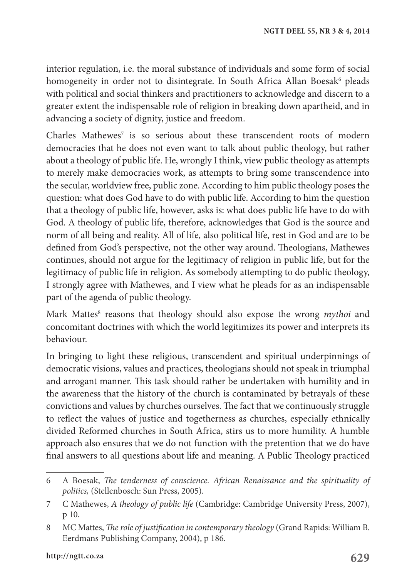interior regulation, i.e. the moral substance of individuals and some form of social homogeneity in order not to disintegrate. In South Africa Allan Boesak<sup>6</sup> pleads with political and social thinkers and practitioners to acknowledge and discern to a greater extent the indispensable role of religion in breaking down apartheid, and in advancing a society of dignity, justice and freedom.

Charles Mathewes<sup>7</sup> is so serious about these transcendent roots of modern democracies that he does not even want to talk about public theology, but rather about a theology of public life. He, wrongly I think, view public theology as attempts to merely make democracies work, as attempts to bring some transcendence into the secular, worldview free, public zone. According to him public theology poses the question: what does God have to do with public life. According to him the question that a theology of public life, however, asks is: what does public life have to do with God. A theology of public life, therefore, acknowledges that God is the source and norm of all being and reality. All of life, also political life, rest in God and are to be defined from God's perspective, not the other way around. Theologians, Mathewes continues, should not argue for the legitimacy of religion in public life, but for the legitimacy of public life in religion. As somebody attempting to do public theology, I strongly agree with Mathewes, and I view what he pleads for as an indispensable part of the agenda of public theology.

Mark Mattes<sup>8</sup> reasons that theology should also expose the wrong *mythoi* and concomitant doctrines with which the world legitimizes its power and interprets its behaviour.

In bringing to light these religious, transcendent and spiritual underpinnings of democratic visions, values and practices, theologians should not speak in triumphal and arrogant manner. This task should rather be undertaken with humility and in the awareness that the history of the church is contaminated by betrayals of these convictions and values by churches ourselves. The fact that we continuously struggle to reflect the values of justice and togetherness as churches, especially ethnically divided Reformed churches in South Africa, stirs us to more humility. A humble approach also ensures that we do not function with the pretention that we do have final answers to all questions about life and meaning. A Public Theology practiced

<sup>6</sup> A Boesak, *The tenderness of conscience. African Renaissance and the spirituality of politics,* (Stellenbosch: Sun Press, 2005).

<sup>7</sup> C Mathewes, *A theology of public life* (Cambridge: Cambridge University Press, 2007), p 10.

<sup>8</sup> MC Mattes, *The role of justification in contemporary theology* (Grand Rapids: William B. Eerdmans Publishing Company, 2004), p 186.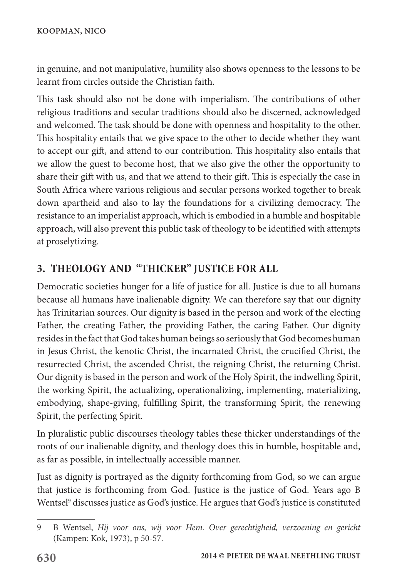in genuine, and not manipulative, humility also shows openness to the lessons to be learnt from circles outside the Christian faith.

This task should also not be done with imperialism. The contributions of other religious traditions and secular traditions should also be discerned, acknowledged and welcomed. The task should be done with openness and hospitality to the other. This hospitality entails that we give space to the other to decide whether they want to accept our gift, and attend to our contribution. This hospitality also entails that we allow the guest to become host, that we also give the other the opportunity to share their gift with us, and that we attend to their gift. This is especially the case in South Africa where various religious and secular persons worked together to break down apartheid and also to lay the foundations for a civilizing democracy. The resistance to an imperialist approach, which is embodied in a humble and hospitable approach, will also prevent this public task of theology to be identified with attempts at proselytizing.

# **3. THEOLOGY AND "THICKER" JUSTICE FOR ALL**

Democratic societies hunger for a life of justice for all. Justice is due to all humans because all humans have inalienable dignity. We can therefore say that our dignity has Trinitarian sources. Our dignity is based in the person and work of the electing Father, the creating Father, the providing Father, the caring Father. Our dignity resides in the fact that God takes human beings so seriously that God becomes human in Jesus Christ, the kenotic Christ, the incarnated Christ, the crucified Christ, the resurrected Christ, the ascended Christ, the reigning Christ, the returning Christ. Our dignity is based in the person and work of the Holy Spirit, the indwelling Spirit, the working Spirit, the actualizing, operationalizing, implementing, materializing, embodying, shape-giving, fulfilling Spirit, the transforming Spirit, the renewing Spirit, the perfecting Spirit.

In pluralistic public discourses theology tables these thicker understandings of the roots of our inalienable dignity, and theology does this in humble, hospitable and, as far as possible, in intellectually accessible manner.

Just as dignity is portrayed as the dignity forthcoming from God, so we can argue that justice is forthcoming from God. Justice is the justice of God. Years ago B Wentsel<sup>9</sup> discusses justice as God's justice. He argues that God's justice is constituted

<sup>9</sup> B Wentsel, *Hij voor ons, wij voor Hem. Over gerechtigheid, verzoening en gericht* (Kampen: Kok, 1973), p 50-57.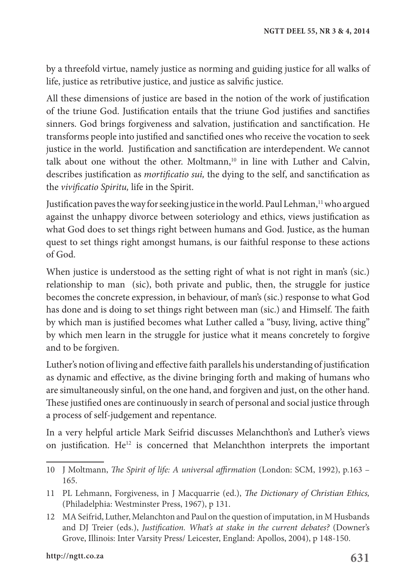by a threefold virtue, namely justice as norming and guiding justice for all walks of life, justice as retributive justice, and justice as salvific justice.

All these dimensions of justice are based in the notion of the work of justification of the triune God. Justification entails that the triune God justifies and sanctifies sinners. God brings forgiveness and salvation, justification and sanctification. He transforms people into justified and sanctified ones who receive the vocation to seek justice in the world. Justification and sanctification are interdependent. We cannot talk about one without the other. Moltmann,<sup>10</sup> in line with Luther and Calvin, describes justification as *mortificatio sui,* the dying to the self, and sanctification as the *vivificatio Spiritu,* life in the Spirit.

Justification paves the way for seeking justice in the world. Paul Lehman, $11$  who argued against the unhappy divorce between soteriology and ethics, views justification as what God does to set things right between humans and God. Justice, as the human quest to set things right amongst humans, is our faithful response to these actions of God.

When justice is understood as the setting right of what is not right in man's (sic.) relationship to man (sic), both private and public, then, the struggle for justice becomes the concrete expression, in behaviour, of man's (sic.) response to what God has done and is doing to set things right between man (sic.) and Himself. The faith by which man is justified becomes what Luther called a "busy, living, active thing" by which men learn in the struggle for justice what it means concretely to forgive and to be forgiven.

Luther's notion of living and effective faith parallels his understanding of justification as dynamic and effective, as the divine bringing forth and making of humans who are simultaneously sinful, on the one hand, and forgiven and just, on the other hand. These justified ones are continuously in search of personal and social justice through a process of self-judgement and repentance.

In a very helpful article Mark Seifrid discusses Melanchthon's and Luther's views on justification.  $He^{12}$  is concerned that Melanchthon interprets the important

<sup>10</sup> J Moltmann, *The Spirit of life: A universal affirmation* (London: SCM, 1992), p.163 – 165.

<sup>11</sup> PL Lehmann, Forgiveness, in J Macquarrie (ed.), *The Dictionary of Christian Ethics,* (Philadelphia: Westminster Press, 1967), p 131.

<sup>12</sup> MA Seifrid, Luther, Melanchton and Paul on the question of imputation, in M Husbands and DJ Treier (eds.), *Justification. What's at stake in the current debates?* (Downer's Grove, Illinois: Inter Varsity Press/ Leicester, England: Apollos, 2004), p 148-150.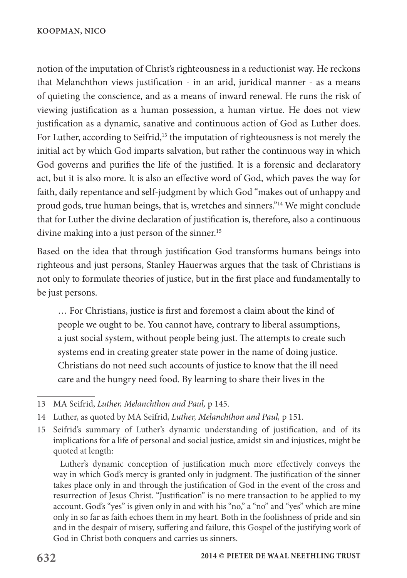notion of the imputation of Christ's righteousness in a reductionist way. He reckons that Melanchthon views justification - in an arid, juridical manner - as a means of quieting the conscience, and as a means of inward renewal. He runs the risk of viewing justification as a human possession, a human virtue. He does not view justification as a dynamic, sanative and continuous action of God as Luther does. For Luther, according to Seifrid,<sup>13</sup> the imputation of righteousness is not merely the initial act by which God imparts salvation, but rather the continuous way in which God governs and purifies the life of the justified. It is a forensic and declaratory act, but it is also more. It is also an effective word of God, which paves the way for faith, daily repentance and self-judgment by which God "makes out of unhappy and proud gods, true human beings, that is, wretches and sinners."14 We might conclude that for Luther the divine declaration of justification is, therefore, also a continuous divine making into a just person of the sinner.<sup>15</sup>

Based on the idea that through justification God transforms humans beings into righteous and just persons, Stanley Hauerwas argues that the task of Christians is not only to formulate theories of justice, but in the first place and fundamentally to be just persons.

… For Christians, justice is first and foremost a claim about the kind of people we ought to be. You cannot have, contrary to liberal assumptions, a just social system, without people being just. The attempts to create such systems end in creating greater state power in the name of doing justice. Christians do not need such accounts of justice to know that the ill need care and the hungry need food. By learning to share their lives in the

Luther's dynamic conception of justification much more effectively conveys the way in which God's mercy is granted only in judgment. The justification of the sinner takes place only in and through the justification of God in the event of the cross and resurrection of Jesus Christ. "Justification" is no mere transaction to be applied to my account. God's "yes" is given only in and with his "no," a "no" and "yes" which are mine only in so far as faith echoes them in my heart. Both in the foolishness of pride and sin and in the despair of misery, suffering and failure, this Gospel of the justifying work of God in Christ both conquers and carries us sinners.

<sup>13</sup> MA Seifrid, *Luther, Melanchthon and Paul,* p 145.

<sup>14</sup> Luther, as quoted by MA Seifrid, *Luther, Melanchthon and Paul,* p 151.

<sup>15</sup> Seifrid's summary of Luther's dynamic understanding of justification, and of its implications for a life of personal and social justice, amidst sin and injustices, might be quoted at length: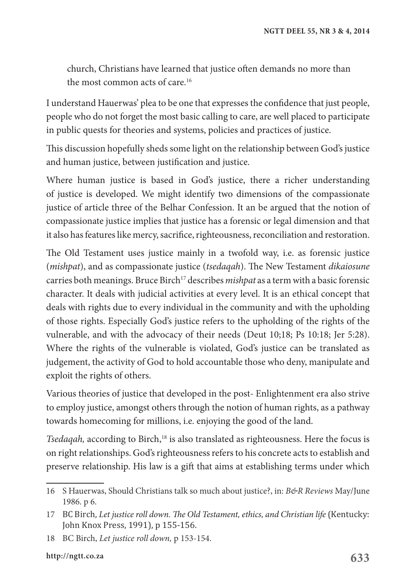church, Christians have learned that justice often demands no more than the most common acts of care.<sup>16</sup>

I understand Hauerwas' plea to be one that expresses the confidence that just people, people who do not forget the most basic calling to care, are well placed to participate in public quests for theories and systems, policies and practices of justice.

This discussion hopefully sheds some light on the relationship between God's justice and human justice, between justification and justice.

Where human justice is based in God's justice, there a richer understanding of justice is developed. We might identify two dimensions of the compassionate justice of article three of the Belhar Confession. It an be argued that the notion of compassionate justice implies that justice has a forensic or legal dimension and that it also has features like mercy, sacrifice, righteousness, reconciliation and restoration.

The Old Testament uses justice mainly in a twofold way, i.e. as forensic justice (*mishpat*), and as compassionate justice (*tsedaqah*). The New Testament *dikaiosune* carries both meanings. Bruce Birch17 describes *mishpat* as a term with a basic forensic character. It deals with judicial activities at every level. It is an ethical concept that deals with rights due to every individual in the community and with the upholding of those rights. Especially God's justice refers to the upholding of the rights of the vulnerable, and with the advocacy of their needs (Deut 10;18; Ps 10:18; Jer 5:28). Where the rights of the vulnerable is violated, God's justice can be translated as judgement, the activity of God to hold accountable those who deny, manipulate and exploit the rights of others.

Various theories of justice that developed in the post- Enlightenment era also strive to employ justice, amongst others through the notion of human rights, as a pathway towards homecoming for millions, i.e. enjoying the good of the land.

*Tsedaqah*, according to Birch,<sup>18</sup> is also translated as righteousness. Here the focus is on right relationships. God's righteousness refers to his concrete acts to establish and preserve relationship. His law is a gift that aims at establishing terms under which

<sup>16</sup> S Hauerwas, Should Christians talk so much about justice?, in: *B&R Reviews* May/June 1986. p 6.

<sup>17</sup> BC Birch, *Let justice roll down. The Old Testament, ethics, and Christian life* (Kentucky: John Knox Press, 1991), p 155-156.

<sup>18</sup> BC Birch, *Let justice roll down,* p 153-154.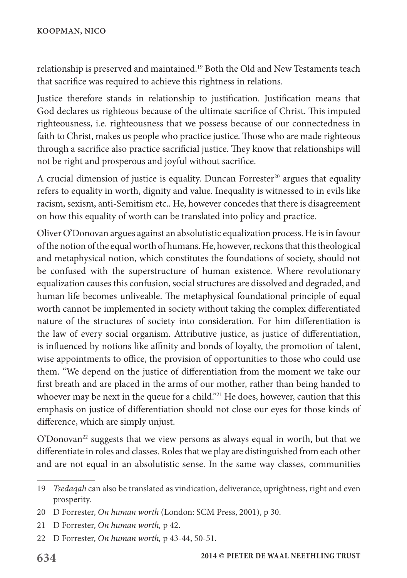relationship is preserved and maintained.19 Both the Old and New Testaments teach that sacrifice was required to achieve this rightness in relations.

Justice therefore stands in relationship to justification. Justification means that God declares us righteous because of the ultimate sacrifice of Christ. This imputed righteousness, i.e. righteousness that we possess because of our connectedness in faith to Christ, makes us people who practice justice. Those who are made righteous through a sacrifice also practice sacrificial justice. They know that relationships will not be right and prosperous and joyful without sacrifice.

A crucial dimension of justice is equality. Duncan Forrester<sup>20</sup> argues that equality refers to equality in worth, dignity and value. Inequality is witnessed to in evils like racism, sexism, anti-Semitism etc.. He, however concedes that there is disagreement on how this equality of worth can be translated into policy and practice.

Oliver O'Donovan argues against an absolutistic equalization process. He is in favour of the notion of the equal worth of humans. He, however, reckons that this theological and metaphysical notion, which constitutes the foundations of society, should not be confused with the superstructure of human existence. Where revolutionary equalization causes this confusion, social structures are dissolved and degraded, and human life becomes unliveable. The metaphysical foundational principle of equal worth cannot be implemented in society without taking the complex differentiated nature of the structures of society into consideration. For him differentiation is the law of every social organism. Attributive justice, as justice of differentiation, is influenced by notions like affinity and bonds of loyalty, the promotion of talent, wise appointments to office, the provision of opportunities to those who could use them. "We depend on the justice of differentiation from the moment we take our first breath and are placed in the arms of our mother, rather than being handed to whoever may be next in the queue for a child."<sup>21</sup> He does, however, caution that this emphasis on justice of differentiation should not close our eyes for those kinds of difference, which are simply unjust.

O'Donovan<sup>22</sup> suggests that we view persons as always equal in worth, but that we differentiate in roles and classes. Roles that we play are distinguished from each other and are not equal in an absolutistic sense. In the same way classes, communities

<sup>19</sup> *Tsedaqah* can also be translated as vindication, deliverance, uprightness, right and even prosperity.

<sup>20</sup> D Forrester, *On human worth* (London: SCM Press, 2001), p 30.

<sup>21</sup> D Forrester, *On human worth,* p 42.

<sup>22</sup> D Forrester, *On human worth,* p 43-44, 50-51.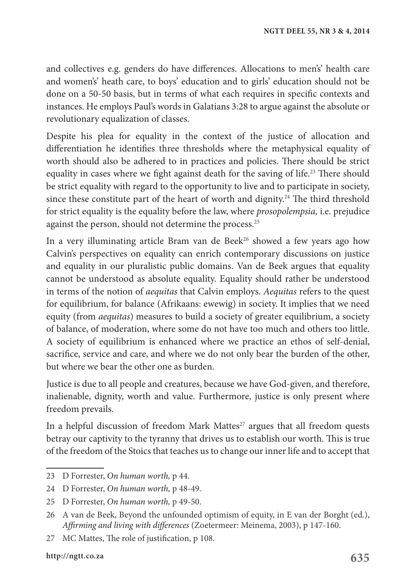and collectives e.g. genders do have differences. Allocations to men's' health care and women's' heath care, to boys' education and to girls' education should not be done on a 50-50 basis, but in terms of what each requires in specific contexts and instances. He employs Paul's words in Galatians 3:28 to argue against the absolute or revolutionary equalization of classes.

Despite his plea for equality in the context of the justice of allocation and differentiation he identifies three thresholds where the metaphysical equality of worth should also be adhered to in practices and policies. There should be strict equality in cases where we fight against death for the saving of life.<sup>23</sup> There should be strict equality with regard to the opportunity to live and to participate in society, since these constitute part of the heart of worth and dignity.<sup>24</sup> The third threshold for strict equality is the equality before the law, where *prosopolempsia,* i.e. prejudice against the person, should not determine the process.<sup>25</sup>

In a very illuminating article Bram van de Beek<sup>26</sup> showed a few years ago how Calvin's perspectives on equality can enrich contemporary discussions on justice and equality in our pluralistic public domains. Van de Beek argues that equality cannot be understood as absolute equality. Equality should rather be understood in terms of the notion of *aequitas* that Calvin employs. *Aequitas* refers to the quest for equilibrium, for balance (Afrikaans: ewewig) in society. It implies that we need equity (from *aequitas*) measures to build a society of greater equilibrium, a society of balance, of moderation, where some do not have too much and others too little. A society of equilibrium is enhanced where we practice an ethos of self-denial, sacrifice, service and care, and where we do not only bear the burden of the other, but where we bear the other one as burden.

Justice is due to all people and creatures, because we have God-given, and therefore, inalienable, dignity, worth and value. Furthermore, justice is only present where freedom prevails.

In a helpful discussion of freedom Mark Mattes<sup>27</sup> argues that all freedom quests betray our captivity to the tyranny that drives us to establish our worth. This is true of the freedom of the Stoics that teaches us to change our inner life and to accept that

<sup>23</sup> D Forrester, *On human worth,* p 44.

<sup>24</sup> D Forrester, *On human worth,* p 48-49.

<sup>25</sup> D Forrester, *On human worth,* p 49-50.

<sup>26</sup> A van de Beek, Beyond the unfounded optimism of equity, in E van der Borght (ed.), *Affirming and living with differences* (Zoetermeer: Meinema, 2003), p 147-160.

<sup>27</sup> MC Mattes, The role of justification, p 108.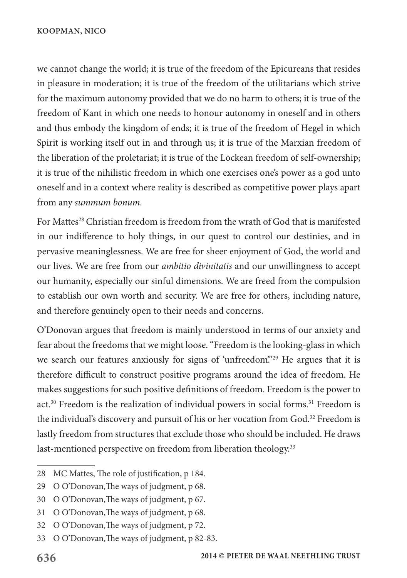we cannot change the world; it is true of the freedom of the Epicureans that resides in pleasure in moderation; it is true of the freedom of the utilitarians which strive for the maximum autonomy provided that we do no harm to others; it is true of the freedom of Kant in which one needs to honour autonomy in oneself and in others and thus embody the kingdom of ends; it is true of the freedom of Hegel in which Spirit is working itself out in and through us; it is true of the Marxian freedom of the liberation of the proletariat; it is true of the Lockean freedom of self-ownership; it is true of the nihilistic freedom in which one exercises one's power as a god unto oneself and in a context where reality is described as competitive power plays apart from any *summum bonum.*

For Mattes<sup>28</sup> Christian freedom is freedom from the wrath of God that is manifested in our indifference to holy things, in our quest to control our destinies, and in pervasive meaninglessness. We are free for sheer enjoyment of God, the world and our lives. We are free from our *ambitio divinitatis* and our unwillingness to accept our humanity, especially our sinful dimensions. We are freed from the compulsion to establish our own worth and security. We are free for others, including nature, and therefore genuinely open to their needs and concerns.

O'Donovan argues that freedom is mainly understood in terms of our anxiety and fear about the freedoms that we might loose. "Freedom is the looking-glass in which we search our features anxiously for signs of 'unfreedom'."<sup>29</sup> He argues that it is therefore difficult to construct positive programs around the idea of freedom. He makes suggestions for such positive definitions of freedom. Freedom is the power to act.30 Freedom is the realization of individual powers in social forms.31 Freedom is the individual's discovery and pursuit of his or her vocation from God.32 Freedom is lastly freedom from structures that exclude those who should be included. He draws last-mentioned perspective on freedom from liberation theology.<sup>33</sup>

<sup>28</sup> MC Mattes, The role of justification, p 184.

<sup>29</sup> O O'Donovan,The ways of judgment, p 68.

<sup>30</sup> O O'Donovan,The ways of judgment, p 67.

<sup>31</sup> O O'Donovan,The ways of judgment, p 68.

<sup>32</sup> O O'Donovan,The ways of judgment, p 72.

<sup>33</sup> O O'Donovan,The ways of judgment, p 82-83.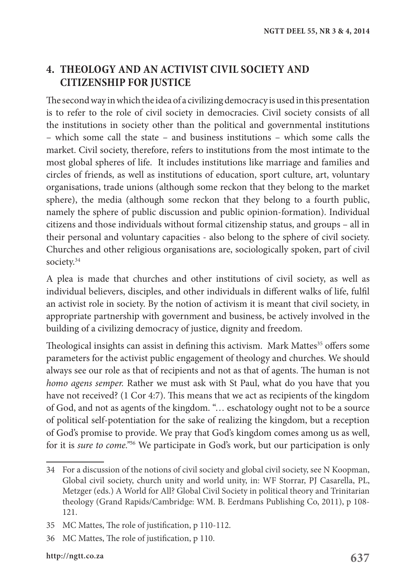## **4. THEOLOGY AND AN ACTIVIST CIVIL SOCIETY AND CITIZENSHIP FOR JUSTICE**

The second way in which the idea of a civilizing democracy is used in this presentation is to refer to the role of civil society in democracies. Civil society consists of all the institutions in society other than the political and governmental institutions – which some call the state – and business institutions – which some calls the market. Civil society, therefore, refers to institutions from the most intimate to the most global spheres of life. It includes institutions like marriage and families and circles of friends, as well as institutions of education, sport culture, art, voluntary organisations, trade unions (although some reckon that they belong to the market sphere), the media (although some reckon that they belong to a fourth public, namely the sphere of public discussion and public opinion-formation). Individual citizens and those individuals without formal citizenship status, and groups – all in their personal and voluntary capacities - also belong to the sphere of civil society. Churches and other religious organisations are, sociologically spoken, part of civil society.<sup>34</sup>

A plea is made that churches and other institutions of civil society, as well as individual believers, disciples, and other individuals in different walks of life, fulfil an activist role in society. By the notion of activism it is meant that civil society, in appropriate partnership with government and business, be actively involved in the building of a civilizing democracy of justice, dignity and freedom.

Theological insights can assist in defining this activism. Mark Mattes $35$  offers some parameters for the activist public engagement of theology and churches. We should always see our role as that of recipients and not as that of agents. The human is not *homo agens semper.* Rather we must ask with St Paul, what do you have that you have not received? (1 Cor 4:7). This means that we act as recipients of the kingdom of God, and not as agents of the kingdom. "… eschatology ought not to be a source of political self-potentiation for the sake of realizing the kingdom, but a reception of God's promise to provide. We pray that God's kingdom comes among us as well, for it is *sure to come."*36 We participate in God's work, but our participation is only

<sup>34</sup> For a discussion of the notions of civil society and global civil society, see N Koopman, Global civil society, church unity and world unity, in: WF Storrar, PJ Casarella, PL, Metzger (eds.) A World for All? Global Civil Society in political theory and Trinitarian theology (Grand Rapids/Cambridge: WM. B. Eerdmans Publishing Co, 2011), p 108- 121.

<sup>35</sup> MC Mattes, The role of justification, p 110-112.

<sup>36</sup> MC Mattes, The role of justification, p 110.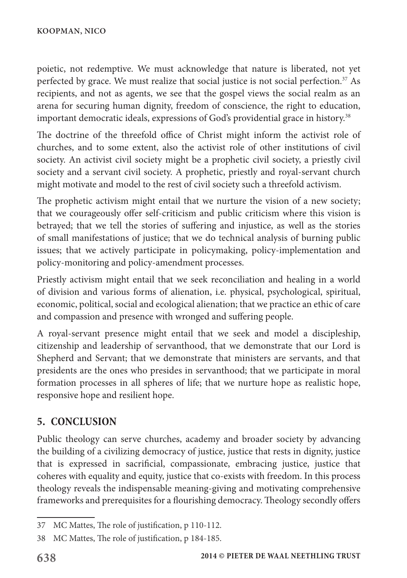poietic, not redemptive. We must acknowledge that nature is liberated, not yet perfected by grace. We must realize that social justice is not social perfection.<sup>37</sup> As recipients, and not as agents, we see that the gospel views the social realm as an arena for securing human dignity, freedom of conscience, the right to education, important democratic ideals, expressions of God's providential grace in history.38

The doctrine of the threefold office of Christ might inform the activist role of churches, and to some extent, also the activist role of other institutions of civil society. An activist civil society might be a prophetic civil society, a priestly civil society and a servant civil society. A prophetic, priestly and royal-servant church might motivate and model to the rest of civil society such a threefold activism.

The prophetic activism might entail that we nurture the vision of a new society; that we courageously offer self-criticism and public criticism where this vision is betrayed; that we tell the stories of suffering and injustice, as well as the stories of small manifestations of justice; that we do technical analysis of burning public issues; that we actively participate in policymaking, policy-implementation and policy-monitoring and policy-amendment processes.

Priestly activism might entail that we seek reconciliation and healing in a world of division and various forms of alienation, i.e. physical, psychological, spiritual, economic, political, social and ecological alienation; that we practice an ethic of care and compassion and presence with wronged and suffering people.

A royal-servant presence might entail that we seek and model a discipleship, citizenship and leadership of servanthood, that we demonstrate that our Lord is Shepherd and Servant; that we demonstrate that ministers are servants, and that presidents are the ones who presides in servanthood; that we participate in moral formation processes in all spheres of life; that we nurture hope as realistic hope, responsive hope and resilient hope.

# **5. CONCLUSION**

Public theology can serve churches, academy and broader society by advancing the building of a civilizing democracy of justice, justice that rests in dignity, justice that is expressed in sacrificial, compassionate, embracing justice, justice that coheres with equality and equity, justice that co-exists with freedom. In this process theology reveals the indispensable meaning-giving and motivating comprehensive frameworks and prerequisites for a flourishing democracy. Theology secondly offers

<sup>37</sup> MC Mattes, The role of justification, p 110-112.

<sup>38</sup> MC Mattes, The role of justification, p 184-185.